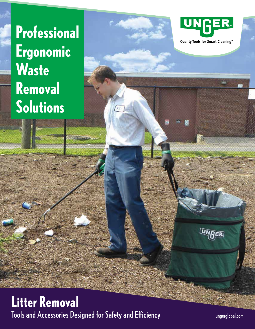# **Professional Ergonomic Waste Removal Solutions**



Quality Tools for Smart Cleaning™

鸤

## **Litter Removal** Tools and Accessories Designed for Safety and Efficiency

 $\overline{\mathcal{U}}$ 

ungerglobal.com

NGER